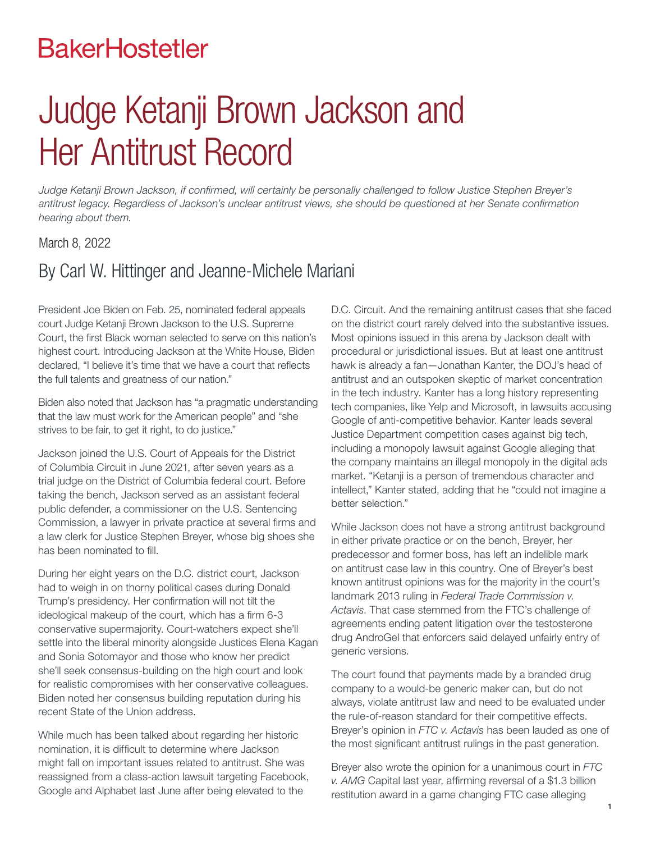# **BakerHostetler**

# Judge Ketanji Brown Jackson and Her Antitrust Record

*Judge Ketanji Brown Jackson, if confirmed, will certainly be personally challenged to follow Justice Stephen Breyer's antitrust legacy. Regardless of Jackson's unclear antitrust views, she should be questioned at her Senate confirmation hearing about them.*

#### March 8, 2022

## By Carl W. Hittinger and Jeanne-Michele Mariani

President Joe Biden on Feb. 25, nominated federal appeals court Judge Ketanji Brown Jackson to the U.S. Supreme Court, the first Black woman selected to serve on this nation's highest court. Introducing Jackson at the White House, Biden declared, "I believe it's time that we have a court that reflects the full talents and greatness of our nation."

Biden also noted that Jackson has "a pragmatic understanding that the law must work for the American people" and "she strives to be fair, to get it right, to do justice."

Jackson joined the U.S. Court of Appeals for the District of Columbia Circuit in June 2021, after seven years as a trial judge on the District of Columbia federal court. Before taking the bench, Jackson served as an assistant federal public defender, a commissioner on the U.S. Sentencing Commission, a lawyer in private practice at several firms and a law clerk for Justice Stephen Breyer, whose big shoes she has been nominated to fill.

During her eight years on the D.C. district court, Jackson had to weigh in on thorny political cases during Donald Trump's presidency. Her confirmation will not tilt the ideological makeup of the court, which has a firm 6-3 conservative supermajority. Court-watchers expect she'll settle into the liberal minority alongside Justices Elena Kagan and Sonia Sotomayor and those who know her predict she'll seek consensus-building on the high court and look for realistic compromises with her conservative colleagues. Biden noted her consensus building reputation during his recent State of the Union address.

While much has been talked about regarding her historic nomination, it is difficult to determine where Jackson might fall on important issues related to antitrust. She was reassigned from a class-action lawsuit targeting Facebook, Google and Alphabet last June after being elevated to the

D.C. Circuit. And the remaining antitrust cases that she faced on the district court rarely delved into the substantive issues. Most opinions issued in this arena by Jackson dealt with procedural or jurisdictional issues. But at least one antitrust hawk is already a fan—Jonathan Kanter, the DOJ's head of antitrust and an outspoken skeptic of market concentration in the tech industry. Kanter has a long history representing tech companies, like Yelp and Microsoft, in lawsuits accusing Google of anti-competitive behavior. Kanter leads several Justice Department competition cases against big tech, including a monopoly lawsuit against Google alleging that the company maintains an illegal monopoly in the digital ads market. "Ketanji is a person of tremendous character and intellect," Kanter stated, adding that he "could not imagine a better selection."

While Jackson does not have a strong antitrust background in either private practice or on the bench, Breyer, her predecessor and former boss, has left an indelible mark on antitrust case law in this country. One of Breyer's best known antitrust opinions was for the majority in the court's landmark 2013 ruling in *Federal Trade Commission v. Actavis*. That case stemmed from the FTC's challenge of agreements ending patent litigation over the testosterone drug AndroGel that enforcers said delayed unfairly entry of generic versions.

The court found that payments made by a branded drug company to a would-be generic maker can, but do not always, violate antitrust law and need to be evaluated under the rule-of-reason standard for their competitive effects. Breyer's opinion in *FTC v. Actavis* has been lauded as one of the most significant antitrust rulings in the past generation.

Breyer also wrote the opinion for a unanimous court in *FTC v. AMG* Capital last year, affirming reversal of a \$1.3 billion restitution award in a game changing FTC case alleging